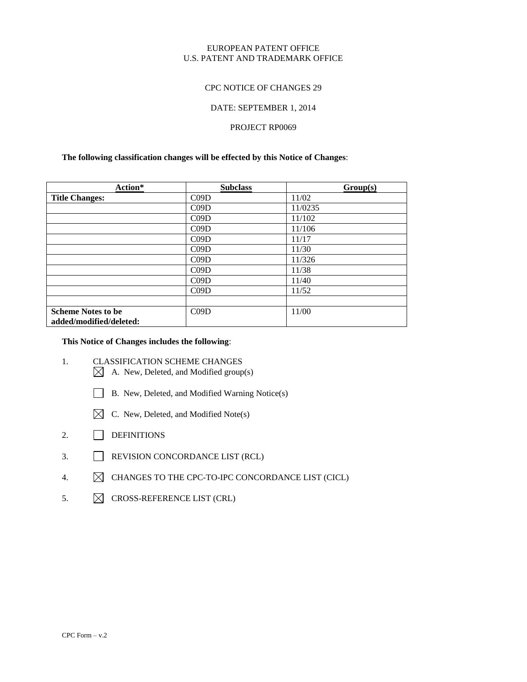### EUROPEAN PATENT OFFICE U.S. PATENT AND TRADEMARK OFFICE

### CPC NOTICE OF CHANGES 29

#### DATE: SEPTEMBER 1, 2014

## PROJECT RP0069

## **The following classification changes will be effected by this Notice of Changes**:

| Action*                   | <b>Subclass</b> | Group(s) |
|---------------------------|-----------------|----------|
| <b>Title Changes:</b>     | C09D            | 11/02    |
|                           | C09D            | 11/0235  |
|                           | C09D            | 11/102   |
|                           | C09D            | 11/106   |
|                           | C09D            | 11/17    |
|                           | C09D            | 11/30    |
|                           | C09D            | 11/326   |
|                           | C09D            | 11/38    |
|                           | C09D            | 11/40    |
|                           | C09D            | 11/52    |
|                           |                 |          |
| <b>Scheme Notes to be</b> | C09D            | 11/00    |
| added/modified/deleted:   |                 |          |

## **This Notice of Changes includes the following**:

- 1. CLASSIFICATION SCHEME CHANGES
	- $\boxtimes$  A. New, Deleted, and Modified group(s)
	- B. New, Deleted, and Modified Warning Notice(s)
	- $\boxtimes$  C. New, Deleted, and Modified Note(s)
- 2. DEFINITIONS
- 3. REVISION CONCORDANCE LIST (RCL)
- 4.  $\boxtimes$  CHANGES TO THE CPC-TO-IPC CONCORDANCE LIST (CICL)
- 5.  $\boxtimes$  CROSS-REFERENCE LIST (CRL)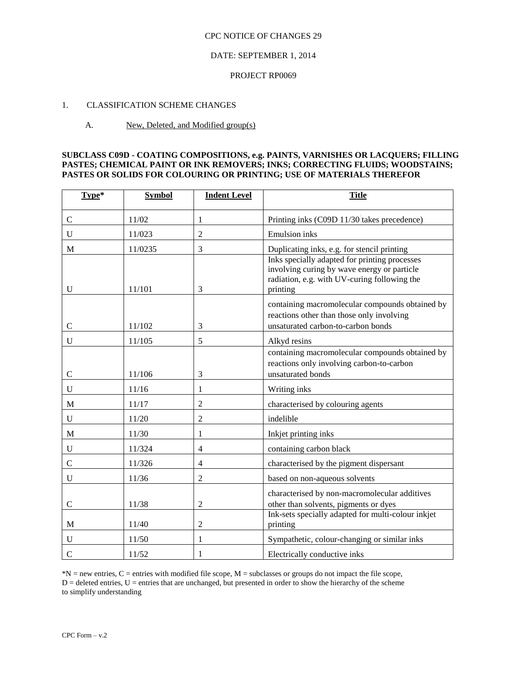### DATE: SEPTEMBER 1, 2014

#### PROJECT RP0069

## 1. CLASSIFICATION SCHEME CHANGES

### A. New, Deleted, and Modified group(s)

### **SUBCLASS C09D - COATING COMPOSITIONS, e.g. PAINTS, VARNISHES OR LACQUERS; FILLING PASTES; CHEMICAL PAINT OR INK REMOVERS; INKS; CORRECTING FLUIDS; WOODSTAINS; PASTES OR SOLIDS FOR COLOURING OR PRINTING; USE OF MATERIALS THEREFOR**

| Type*         | <b>Symbol</b> | <b>Indent Level</b> | <b>Title</b>                                                                                                                                             |
|---------------|---------------|---------------------|----------------------------------------------------------------------------------------------------------------------------------------------------------|
| $\mathsf{C}$  | 11/02         | 1                   | Printing inks (C09D 11/30 takes precedence)                                                                                                              |
| U             | 11/023        | 2                   | <b>Emulsion</b> inks                                                                                                                                     |
| M             | 11/0235       | 3                   | Duplicating inks, e.g. for stencil printing                                                                                                              |
| U             | 11/101        | 3                   | Inks specially adapted for printing processes<br>involving curing by wave energy or particle<br>radiation, e.g. with UV-curing following the<br>printing |
| $\mathsf{C}$  | 11/102        | 3                   | containing macromolecular compounds obtained by<br>reactions other than those only involving<br>unsaturated carbon-to-carbon bonds                       |
| $\mathbf U$   | 11/105        | 5                   | Alkyd resins                                                                                                                                             |
| $\mathsf{C}$  | 11/106        | 3                   | containing macromolecular compounds obtained by<br>reactions only involving carbon-to-carbon<br>unsaturated bonds                                        |
| U             | 11/16         | 1                   | Writing inks                                                                                                                                             |
| M             | 11/17         | 2                   | characterised by colouring agents                                                                                                                        |
| U             | 11/20         | 2                   | indelible                                                                                                                                                |
| M             | 11/30         | 1                   | Inkjet printing inks                                                                                                                                     |
| U             | 11/324        | $\overline{4}$      | containing carbon black                                                                                                                                  |
| $\mathbf C$   | 11/326        | 4                   | characterised by the pigment dispersant                                                                                                                  |
| U             | 11/36         | $\overline{2}$      | based on non-aqueous solvents                                                                                                                            |
| $\mathbf C$   | 11/38         | 2                   | characterised by non-macromolecular additives<br>other than solvents, pigments or dyes<br>Ink-sets specially adapted for multi-colour inkjet             |
| M             | 11/40         | $\overline{c}$      | printing                                                                                                                                                 |
| $\mathbf U$   | 11/50         | 1                   | Sympathetic, colour-changing or similar inks                                                                                                             |
| $\mathcal{C}$ | 11/52         | 1                   | Electrically conductive inks                                                                                                                             |

 $N = new$  entries, C = entries with modified file scope, M = subclasses or groups do not impact the file scope,  $D =$  deleted entries,  $U =$  entries that are unchanged, but presented in order to show the hierarchy of the scheme to simplify understanding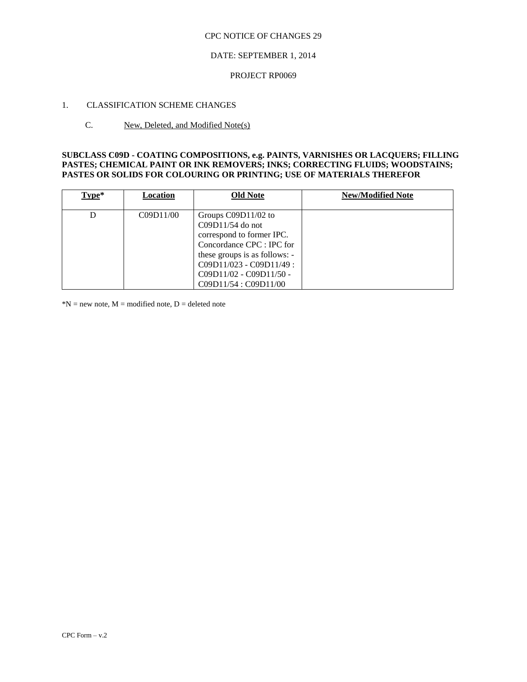## DATE: SEPTEMBER 1, 2014

#### PROJECT RP0069

## 1. CLASSIFICATION SCHEME CHANGES

#### C. New, Deleted, and Modified Note(s)

## **SUBCLASS C09D - COATING COMPOSITIONS, e.g. PAINTS, VARNISHES OR LACQUERS; FILLING PASTES; CHEMICAL PAINT OR INK REMOVERS; INKS; CORRECTING FLUIDS; WOODSTAINS; PASTES OR SOLIDS FOR COLOURING OR PRINTING; USE OF MATERIALS THEREFOR**

| Type* | Location  | <b>Old Note</b>                                                                                                                                                                                                         | <b>New/Modified Note</b> |
|-------|-----------|-------------------------------------------------------------------------------------------------------------------------------------------------------------------------------------------------------------------------|--------------------------|
|       | C09D11/00 | Groups C09D11/02 to<br>$C09D11/54$ do not<br>correspond to former IPC.<br>Concordance CPC : IPC for<br>these groups is as follows: -<br>$C09D11/023 - C09D11/49$ :<br>$C09D11/02 - C09D11/50 -$<br>C09D11/54: C09D11/00 |                          |

 $*N$  = new note, M = modified note, D = deleted note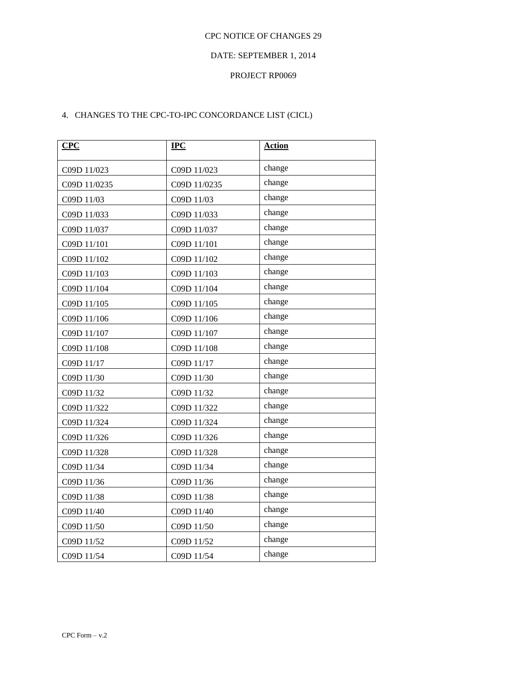## DATE: SEPTEMBER 1, 2014

#### PROJECT RP0069

## 4. CHANGES TO THE CPC-TO-IPC CONCORDANCE LIST (CICL)

| CPC          | IPC          | <b>Action</b> |
|--------------|--------------|---------------|
| C09D 11/023  | C09D 11/023  | change        |
| C09D 11/0235 | C09D 11/0235 | change        |
| C09D 11/03   | C09D 11/03   | change        |
| C09D 11/033  | C09D 11/033  | change        |
| C09D 11/037  | C09D 11/037  | change        |
| C09D 11/101  | C09D 11/101  | change        |
| C09D 11/102  | C09D 11/102  | change        |
| C09D 11/103  | C09D 11/103  | change        |
| C09D 11/104  | C09D 11/104  | change        |
| C09D 11/105  | C09D 11/105  | change        |
| C09D 11/106  | C09D 11/106  | change        |
| C09D 11/107  | C09D 11/107  | change        |
| C09D 11/108  | C09D 11/108  | change        |
| C09D 11/17   | C09D 11/17   | change        |
| C09D 11/30   | C09D 11/30   | change        |
| C09D 11/32   | C09D 11/32   | change        |
| C09D 11/322  | C09D 11/322  | change        |
| C09D 11/324  | C09D 11/324  | change        |
| C09D 11/326  | C09D 11/326  | change        |
| C09D 11/328  | C09D 11/328  | change        |
| C09D 11/34   | C09D 11/34   | change        |
| C09D 11/36   | C09D 11/36   | change        |
| C09D 11/38   | C09D 11/38   | change        |
| C09D 11/40   | C09D 11/40   | change        |
| C09D 11/50   | C09D 11/50   | change        |
| C09D 11/52   | C09D 11/52   | change        |
| C09D 11/54   | C09D 11/54   | change        |